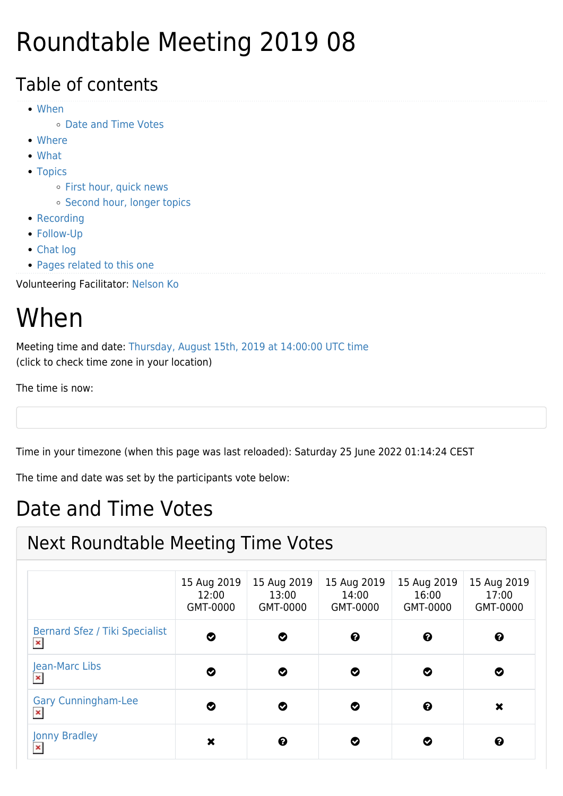### Roundtable Meeting 2019 08

#### Table of contents

- [When](#page--1-0)
	- [Date and Time Votes](#page--1-0)
- [Where](#page--1-0)
- [What](#page--1-0)
- [Topics](#page--1-0)
	- o [First hour, quick news](#page--1-0)
	- o [Second hour, longer topics](#page--1-0)
- [Recording](#page--1-0)
- [Follow-Up](#page--1-0)
- [Chat log](#page--1-0)
- [Pages related to this one](#page--1-0)

Volunteering Facilitator: [Nelson Ko](https://suite.tiki.org/user11196)

### When

Meeting time and date: [Thursday, August 15th, 2019 at 14:00:00 UTC time](https://www.timeanddate.com/worldclock/fixedtime.html?year=2019&month=08&day=15&hour=14&min=0&sec=0) (click to check time zone in your location)

The time is now:

Time in your timezone (when this page was last reloaded): Saturday 25 June 2022 01:14:24 CEST

The time and date was set by the participants vote below:

#### Date and Time Votes

#### Next Roundtable Meeting Time Votes

|                                                  | 15 Aug 2019<br>12:00<br>GMT-0000 | 15 Aug 2019<br>13:00<br>GMT-0000 | 15 Aug 2019<br>14:00<br>GMT-0000 | 15 Aug 2019<br>16:00<br>GMT-0000 | 15 Aug 2019<br>17:00<br>GMT-0000 |
|--------------------------------------------------|----------------------------------|----------------------------------|----------------------------------|----------------------------------|----------------------------------|
| Bernard Sfez / Tiki Specialist<br>$\pmb{\times}$ | ◎                                | Ø                                | ❸                                | $\boldsymbol{\Theta}$            | $\boldsymbol{\Theta}$            |
| Jean-Marc Libs<br>$\pmb{\times}$                 | ◎                                | Ø                                | ◎                                | ููู                              | ◎                                |
| <b>Gary Cunningham-Lee</b><br>$\pmb{\times}$     | $\bullet$                        | ◎                                | ◙                                | $\boldsymbol{\Theta}$            | ×                                |
| Jonny Bradley<br>$\pmb{\times}$                  | ×                                | ❸                                | ⊗                                | Ø                                | $\boldsymbol{\Theta}$            |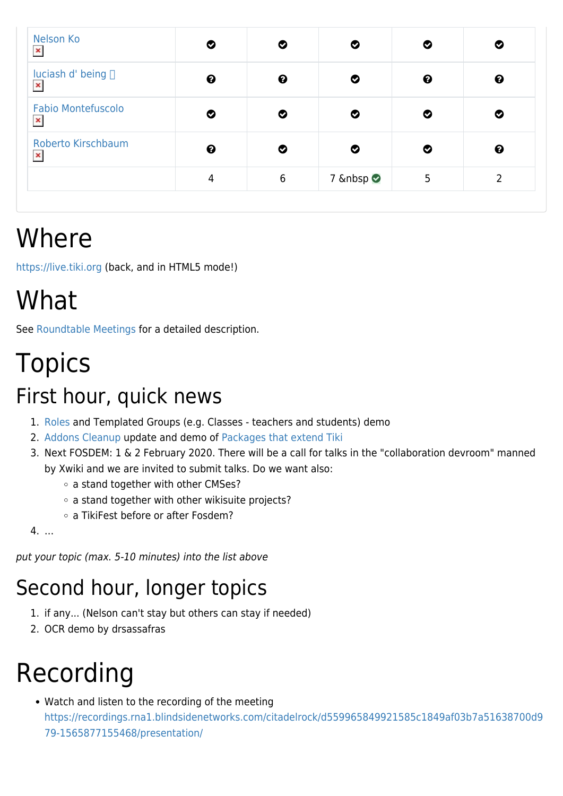| Nelson Ko<br>$\pmb{\times}$                 | ◙                     | O                     | ◎     | Ø | ♡ |
|---------------------------------------------|-----------------------|-----------------------|-------|---|---|
| luciash d' being []<br>$\pmb{\times}$       | $\boldsymbol{\Theta}$ | $\boldsymbol{\Theta}$ | Ø     | ❸ | ❸ |
| <b>Fabio Montefuscolo</b><br>$\pmb{\times}$ | ◎                     | Ø                     | ◎     | Ø | Ø |
| Roberto Kirschbaum<br>$\pmb{\times}$        | $\boldsymbol{\Theta}$ | Ø                     | ◔     | Ø | ❸ |
|                                             | $\overline{4}$        | $6\phantom{1}$        | 7   ⊘ | 5 | 2 |

### Where

<https://live.tiki.org>(back, and in HTML5 mode!)

# What

See [Roundtable Meetings](https://suite.tiki.org/Roundtable-Meetings) for a detailed description.

## Topics

#### First hour, quick news

- 1. [Roles](http://dev.tiki.org/Roles%20and%20Permissions) and Templated Groups (e.g. Classes teachers and students) demo
- 2. [Addons Cleanup](http://dev.tiki.org/Addons%20Cleanup) update and demo of [Packages that extend Tiki](http://doc.tiki.org/Packages%20that%20extend%20Tiki)
- 3. Next FOSDEM: 1 & 2 February 2020. There will be a call for talks in the "collaboration devroom" manned by Xwiki and we are invited to submit talks. Do we want also:
	- o a stand together with other CMSes?
	- $\circ$  a stand together with other wikisuite projects?
	- a TikiFest before or after Fosdem?

4. …

put your topic (max. 5-10 minutes) into the list above

#### Second hour, longer topics

- 1. if any... (Nelson can't stay but others can stay if needed)
- 2. OCR demo by drsassafras

# Recording

Watch and listen to the recording of the meeting [https://recordings.rna1.blindsidenetworks.com/citadelrock/d559965849921585c1849af03b7a51638700d9](https://recordings.rna1.blindsidenetworks.com/citadelrock/d559965849921585c1849af03b7a51638700d979-1565877155468/presentation/) [79-1565877155468/presentation/](https://recordings.rna1.blindsidenetworks.com/citadelrock/d559965849921585c1849af03b7a51638700d979-1565877155468/presentation/)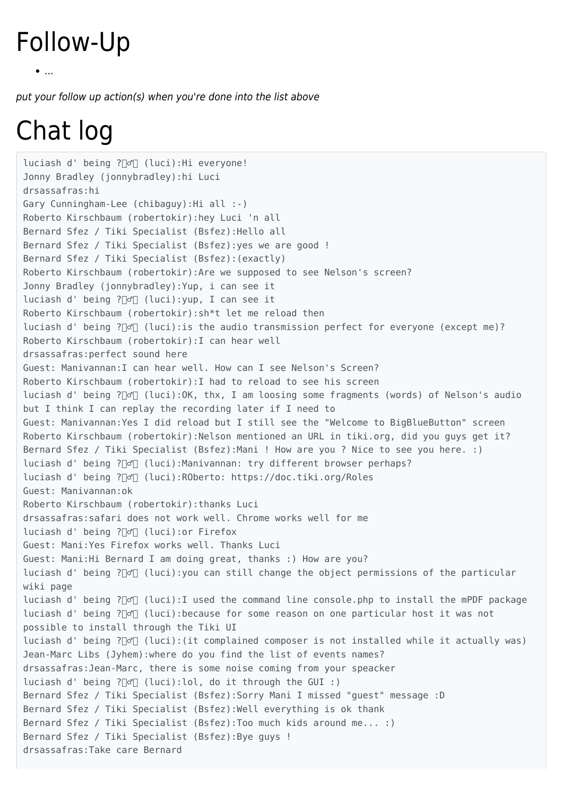#### Follow-Up

 $\bullet$ ....

put your follow up action(s) when you're done into the list above

# Chat log

luciash d' being ?[d] (luci): Hi everyone! Jonny Bradley (jonnybradley):hi Luci drsassafras:hi Gary Cunningham-Lee (chibaguy):Hi all :-) Roberto Kirschbaum (robertokir):hey Luci 'n all Bernard Sfez / Tiki Specialist (Bsfez):Hello all Bernard Sfez / Tiki Specialist (Bsfez):yes we are good ! Bernard Sfez / Tiki Specialist (Bsfez):(exactly) Roberto Kirschbaum (robertokir):Are we supposed to see Nelson's screen? Jonny Bradley (jonnybradley):Yup, i can see it luciash d' being ?∏o<sup>n</sup> (luci): yup, I can see it Roberto Kirschbaum (robertokir):sh\*t let me reload then luciash d' being ?∏o<sup>n</sup> (luci): is the audio transmission perfect for everyone (except me)? Roberto Kirschbaum (robertokir):I can hear well drsassafras:perfect sound here Guest: Manivannan:I can hear well. How can I see Nelson's Screen? Roberto Kirschbaum (robertokir):I had to reload to see his screen luciash d' being ?♂️ (luci):OK, thx, I am loosing some fragments (words) of Nelson's audio but I think I can replay the recording later if I need to Guest: Manivannan:Yes I did reload but I still see the "Welcome to BigBlueButton" screen Roberto Kirschbaum (robertokir):Nelson mentioned an URL in tiki.org, did you guys get it? Bernard Sfez / Tiki Specialist (Bsfez):Mani ! How are you ? Nice to see you here. :) luciash d' being ? $\sqrt{2}$  (luci):Manivannan: try different browser perhaps? luciash d' being ?♂️ (luci):ROberto: https://doc.tiki.org/Roles Guest: Manivannan:ok Roberto Kirschbaum (robertokir):thanks Luci drsassafras:safari does not work well. Chrome works well for me luciash d' being ?∏o<sup>n</sup> (luci):or Firefox Guest: Mani:Yes Firefox works well. Thanks Luci Guest: Mani:Hi Bernard I am doing great, thanks :) How are you? luciash d' being ?♂️ (luci):you can still change the object permissions of the particular wiki page luciash d' being ?♂️ (luci):I used the command line console.php to install the mPDF package luciash d' being ?♂️ (luci):because for some reason on one particular host it was not possible to install through the Tiki UI luciash d' being ?♂️ (luci):(it complained composer is not installed while it actually was) Jean-Marc Libs (Jyhem):where do you find the list of events names? drsassafras:Jean-Marc, there is some noise coming from your speacker luciash d' being ?♂️ (luci):lol, do it through the GUI :) Bernard Sfez / Tiki Specialist (Bsfez):Sorry Mani I missed "guest" message :D Bernard Sfez / Tiki Specialist (Bsfez):Well everything is ok thank Bernard Sfez / Tiki Specialist (Bsfez):Too much kids around me... :) Bernard Sfez / Tiki Specialist (Bsfez):Bye guys ! drsassafras:Take care Bernard